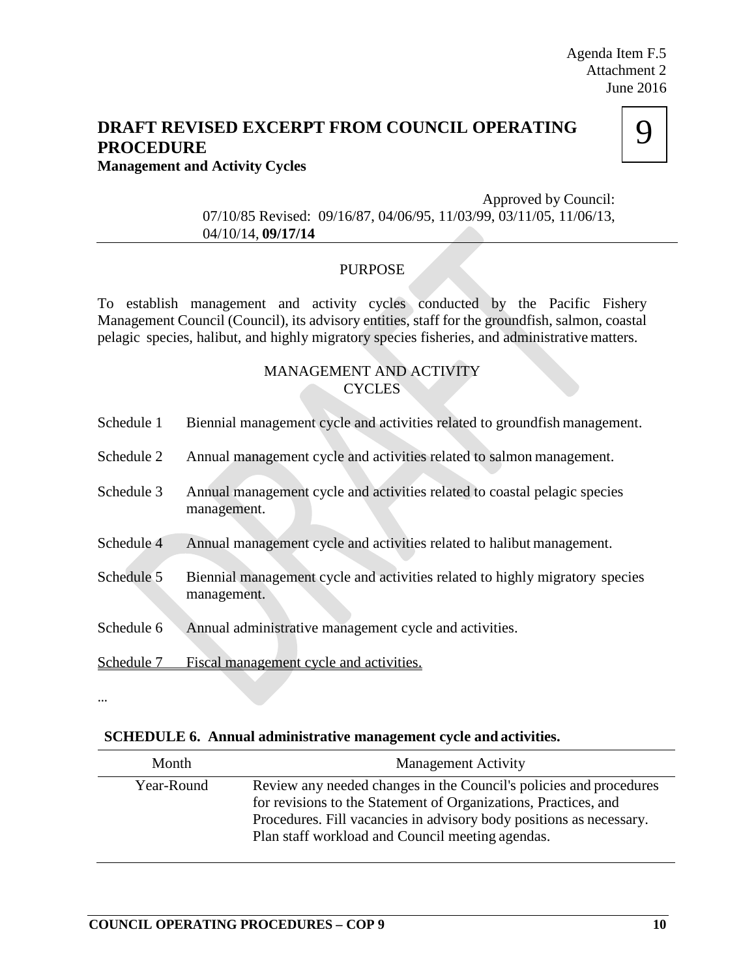# **DRAFT REVISED EXCERPT FROM COUNCIL OPERATING PROCEDURE Management and Activity Cycles**



Approved by Council: 07/10/85 Revised: 09/16/87, 04/06/95, 11/03/99, 03/11/05, 11/06/13, 04/10/14, **09/17/14**

## PURPOSE

To establish management and activity cycles conducted by the Pacific Fishery Management Council (Council), its advisory entities, staff for the groundfish, salmon, coastal pelagic species, halibut, and highly migratory species fisheries, and administrative matters.

### MANAGEMENT AND ACTIVITY **CYCLES**

| Schedule 1 | Biennial management cycle and activities related to groundfish management.                  |
|------------|---------------------------------------------------------------------------------------------|
| Schedule 2 | Annual management cycle and activities related to salmon management.                        |
| Schedule 3 | Annual management cycle and activities related to coastal pelagic species<br>management.    |
| Schedule 4 | Annual management cycle and activities related to halibut management.                       |
| Schedule 5 | Biennial management cycle and activities related to highly migratory species<br>management. |
| Schedule 6 | Annual administrative management cycle and activities.                                      |
| Schedule 7 | Fiscal management cycle and activities.                                                     |

### …

#### **SCHEDULE 6. Annual administrative management cycle and activities.**

| Month      | <b>Management Activity</b>                                                                                                                                                                                                                                       |
|------------|------------------------------------------------------------------------------------------------------------------------------------------------------------------------------------------------------------------------------------------------------------------|
| Year-Round | Review any needed changes in the Council's policies and procedures<br>for revisions to the Statement of Organizations, Practices, and<br>Procedures. Fill vacancies in advisory body positions as necessary.<br>Plan staff workload and Council meeting agendas. |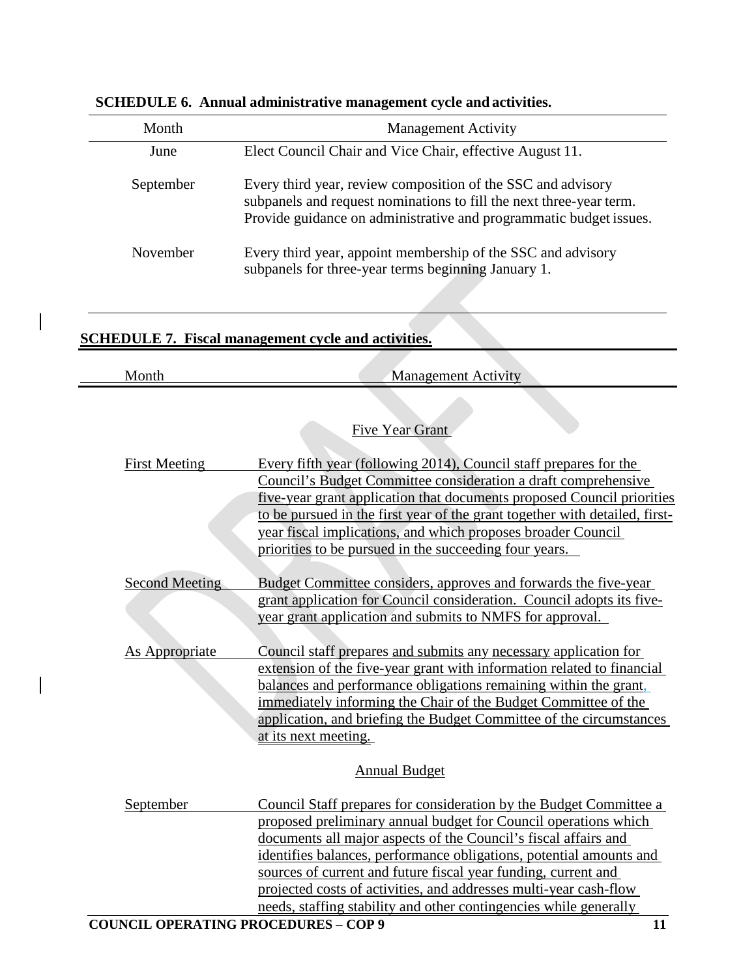| Month                 | <b>Management Activity</b>                                                                                                                                                                                                                                                                                                                                                                                                                                                                  |
|-----------------------|---------------------------------------------------------------------------------------------------------------------------------------------------------------------------------------------------------------------------------------------------------------------------------------------------------------------------------------------------------------------------------------------------------------------------------------------------------------------------------------------|
| June                  | Elect Council Chair and Vice Chair, effective August 11.                                                                                                                                                                                                                                                                                                                                                                                                                                    |
| September             | Every third year, review composition of the SSC and advisory<br>subpanels and request nominations to fill the next three-year term.<br>Provide guidance on administrative and programmatic budget issues.                                                                                                                                                                                                                                                                                   |
| November              | Every third year, appoint membership of the SSC and advisory<br>subpanels for three-year terms beginning January 1.                                                                                                                                                                                                                                                                                                                                                                         |
|                       | <b>SCHEDULE 7. Fiscal management cycle and activities.</b>                                                                                                                                                                                                                                                                                                                                                                                                                                  |
| Month                 | <b>Management Activity</b>                                                                                                                                                                                                                                                                                                                                                                                                                                                                  |
|                       |                                                                                                                                                                                                                                                                                                                                                                                                                                                                                             |
|                       | <b>Five Year Grant</b>                                                                                                                                                                                                                                                                                                                                                                                                                                                                      |
| <b>First Meeting</b>  | Every fifth year (following 2014), Council staff prepares for the<br>Council's Budget Committee consideration a draft comprehensive<br>five-year grant application that documents proposed Council priorities<br>to be pursued in the first year of the grant together with detailed, first-<br>year fiscal implications, and which proposes broader Council<br>priorities to be pursued in the succeeding four years.                                                                      |
| <b>Second Meeting</b> | Budget Committee considers, approves and forwards the five-year<br>grant application for Council consideration. Council adopts its five-<br>year grant application and submits to NMFS for approval.                                                                                                                                                                                                                                                                                        |
| <b>As Appropriate</b> | Council staff prepares and submits any necessary application for<br>extension of the five-year grant with information related to financial<br>balances and performance obligations remaining within the grant,<br>immediately informing the Chair of the Budget Committee of the<br>application, and briefing the Budget Committee of the circumstances<br>at its next meeting.                                                                                                             |
|                       | <b>Annual Budget</b>                                                                                                                                                                                                                                                                                                                                                                                                                                                                        |
| September             | Council Staff prepares for consideration by the Budget Committee a<br>proposed preliminary annual budget for Council operations which<br>documents all major aspects of the Council's fiscal affairs and<br>identifies balances, performance obligations, potential amounts and<br>sources of current and future fiscal year funding, current and<br>projected costs of activities, and addresses multi-year cash-flow<br>needs, staffing stability and other contingencies while generally |

**SCHEDULE 6. Annual administrative management cycle and activities.**

 $\overline{\mathbf{I}}$ 

 $\overline{\phantom{a}}$